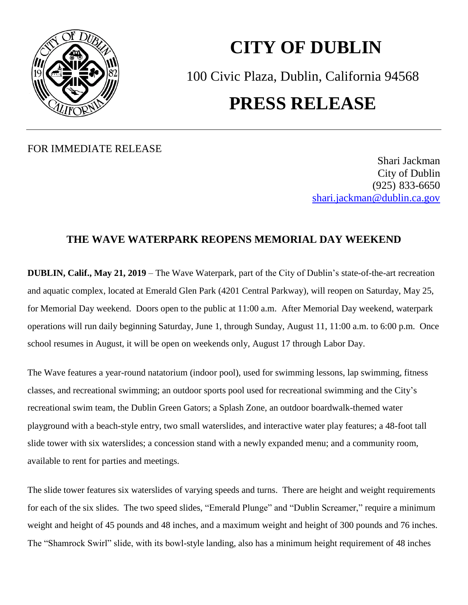

## **CITY OF DUBLIN** 100 Civic Plaza, Dublin, California 94568 **PRESS RELEASE**

## FOR IMMEDIATE RELEASE

Shari Jackman City of Dublin (925) 833-6650 [shari.jackman@dublin.ca.gov](mailto:shari.jackman@dublin.ca.gov)

## **THE WAVE WATERPARK REOPENS MEMORIAL DAY WEEKEND**

**DUBLIN, Calif., May 21, 2019** – The Wave Waterpark, part of the City of Dublin's state-of-the-art recreation and aquatic complex, located at Emerald Glen Park (4201 Central Parkway), will reopen on Saturday, May 25, for Memorial Day weekend. Doors open to the public at 11:00 a.m. After Memorial Day weekend, waterpark operations will run daily beginning Saturday, June 1, through Sunday, August 11, 11:00 a.m. to 6:00 p.m. Once school resumes in August, it will be open on weekends only, August 17 through Labor Day.

The Wave features a year-round natatorium (indoor pool), used for swimming lessons, lap swimming, fitness classes, and recreational swimming; an outdoor sports pool used for recreational swimming and the City's recreational swim team, the Dublin Green Gators; a Splash Zone, an outdoor boardwalk-themed water playground with a beach-style entry, two small waterslides, and interactive water play features; a 48-foot tall slide tower with six waterslides; a concession stand with a newly expanded menu; and a community room, available to rent for parties and meetings.

The slide tower features six waterslides of varying speeds and turns. There are height and weight requirements for each of the six slides. The two speed slides, "Emerald Plunge" and "Dublin Screamer," require a minimum weight and height of 45 pounds and 48 inches, and a maximum weight and height of 300 pounds and 76 inches. The "Shamrock Swirl" slide, with its bowl-style landing, also has a minimum height requirement of 48 inches